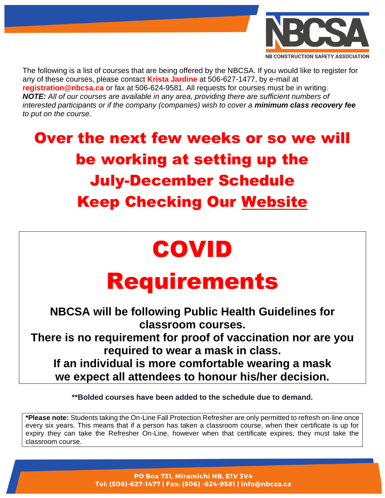

The following is a list of courses that are being offered by the NBCSA. If you would like to register for any of these courses, please contact **Krista Jardine** at 506-627-1477, by e-mail at **registration@nbcsa.ca** or fax at 506-624-9581. All requests for courses must be in writing. *NOTE: All of our courses are available in any area, providing there are sufficient numbers of interested participants or if the company (companies) wish to cover a minimum class recovery fee to put on the course.*

## Over the next few weeks or so we will be working at setting up the July-December Schedule **Keep Checking Our [Website](https://nbcsa.ca/training/schedules-calendar/)**

## COVID

## Requirements

**NBCSA will be following Public Health Guidelines for classroom courses. There is no requirement for proof of vaccination nor are you required to wear a mask in class. If an individual is more comfortable wearing a mask we expect all attendees to honour his/her decision.**

**\*\*Bolded courses have been added to the schedule due to demand.**

**\*Please note:** Students taking the On-Line Fall Protection Refresher are only permitted to refresh on-line once every six years. This means that if a person has taken a classroom course, when their certificate is up for expiry they can take the Refresher On-Line, however when that certificate expires, they must take the classroom course.

> PO Box 731, Miramichi NB, E1V 3V4 Tel: (506)-627-1477 | Fax: (506) -624-9581 | info@nbcsa.ca